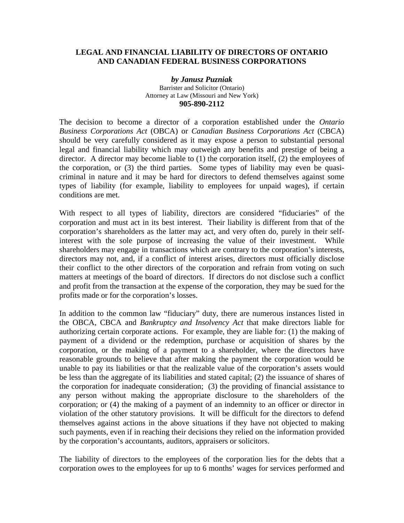## **LEGAL AND FINANCIAL LIABILITY OF DIRECTORS OF ONTARIO AND CANADIAN FEDERAL BUSINESS CORPORATIONS**

## *by Janusz Puzniak*  Barrister and Solicitor (Ontario) Attorney at Law (Missouri and New York) **905-890-2112**

The decision to become a director of a corporation established under the *Ontario Business Corporations Act* (OBCA) or *Canadian Business Corporations Act* (CBCA) should be very carefully considered as it may expose a person to substantial personal legal and financial liability which may outweigh any benefits and prestige of being a director. A director may become liable to (1) the corporation itself, (2) the employees of the corporation, or (3) the third parties. Some types of liability may even be quasicriminal in nature and it may be hard for directors to defend themselves against some types of liability (for example, liability to employees for unpaid wages), if certain conditions are met.

With respect to all types of liability, directors are considered "fiduciaries" of the corporation and must act in its best interest. Their liability is different from that of the corporation's shareholders as the latter may act, and very often do, purely in their selfinterest with the sole purpose of increasing the value of their investment. While shareholders may engage in transactions which are contrary to the corporation's interests, directors may not, and, if a conflict of interest arises, directors must officially disclose their conflict to the other directors of the corporation and refrain from voting on such matters at meetings of the board of directors. If directors do not disclose such a conflict and profit from the transaction at the expense of the corporation, they may be sued for the profits made or for the corporation's losses.

In addition to the common law "fiduciary" duty, there are numerous instances listed in the OBCA, CBCA and *Bankruptcy and Insolvency Act* that make directors liable for authorizing certain corporate actions. For example, they are liable for: (1) the making of payment of a dividend or the redemption, purchase or acquisition of shares by the corporation, or the making of a payment to a shareholder, where the directors have reasonable grounds to believe that after making the payment the corporation would be unable to pay its liabilities or that the realizable value of the corporation's assets would be less than the aggregate of its liabilities and stated capital; (2) the issuance of shares of the corporation for inadequate consideration; (3) the providing of financial assistance to any person without making the appropriate disclosure to the shareholders of the corporation; or (4) the making of a payment of an indemnity to an officer or director in violation of the other statutory provisions. It will be difficult for the directors to defend themselves against actions in the above situations if they have not objected to making such payments, even if in reaching their decisions they relied on the information provided by the corporation's accountants, auditors, appraisers or solicitors.

The liability of directors to the employees of the corporation lies for the debts that a corporation owes to the employees for up to 6 months' wages for services performed and